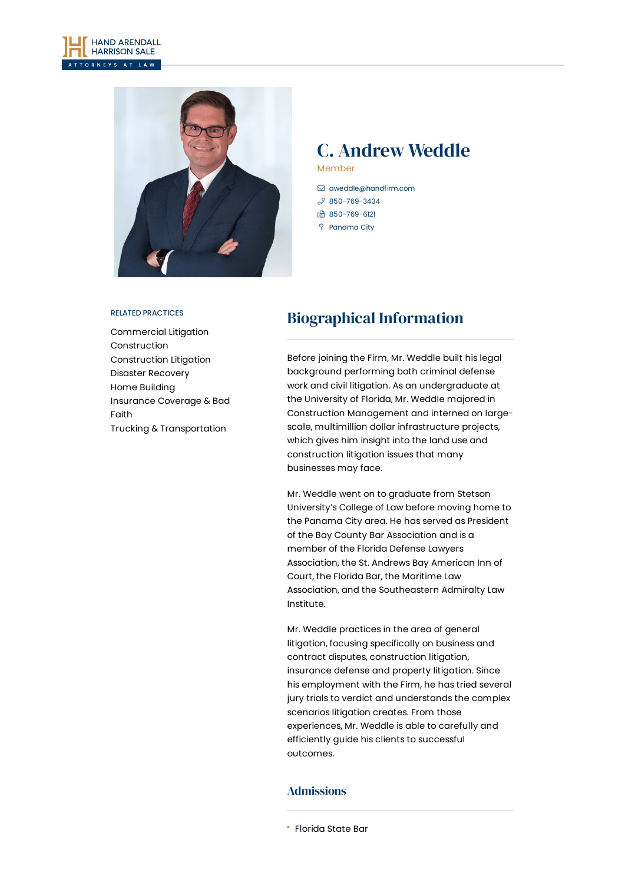



## C. Andrew Weddle Member

- [aweddle@handfirm.com](mailto:aweddle@handfirm.com)
- $$850 769 3434$
- 850-769-6121
- Panama City

#### RELATED PRACTICES

[Commercial](https://www.handfirm.com/practices/litigation/commercial-litigation/) Litigation [Construction](https://www.handfirm.com/practices/industries/construction/) [Construction](https://www.handfirm.com/practices/litigation/construction-litigation/) Litigation Disaster [Recovery](https://www.handfirm.com/practices/industries/disaster-recovery/) Home [Building](https://www.handfirm.com/practices/industries/home-building/) [Insurance](https://www.handfirm.com/practices/litigation/insurance-coverage-bad-faith/) Coverage & Bad Faith Trucking & [Transportation](https://www.handfirm.com/practices/industries/trucking-transportation/)

# Biographical Information

Before joining the Firm, Mr. Weddle built his legal background performing both criminal defense work and civil litigation. As an undergraduate at the University of Florida, Mr. Weddle majored in Construction Management and interned on largescale, multimillion dollar infrastructure projects, which gives him insight into the land use and construction litigation issues that many businesses may face.

Mr. Weddle went on to graduate from Stetson University's College of Law before moving home to the Panama City area. He has served as President of the Bay County Bar Association and is a member of the Florida Defense Lawyers Association, the St. Andrews Bay American Inn of Court, the Florida Bar, the Maritime Law Association, and the Southeastern Admiralty Law Institute.

Mr. Weddle practices in the area of general litigation, focusing specifically on business and contract disputes, construction litigation, insurance defense and property litigation. Since his employment with the Firm, he has tried several jury trials to verdict and understands the complex scenarios litigation creates. From those experiences, Mr. Weddle is able to carefully and efficiently guide his clients to successful outcomes.

### Admissions

Florida State Bar